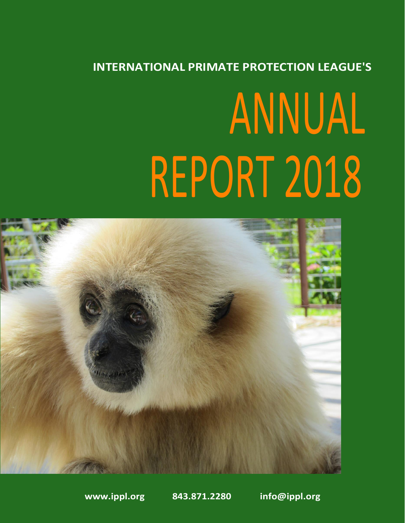#### **INTERNATIONAL PRIMATE PROTECTION LEAGUE'S**

# ANNUAL REPORT 2018



**[www.ippl.org](http://www.ippl.org/) 843.871.2280 [info@ippl.org](mailto:info@ippl.org)**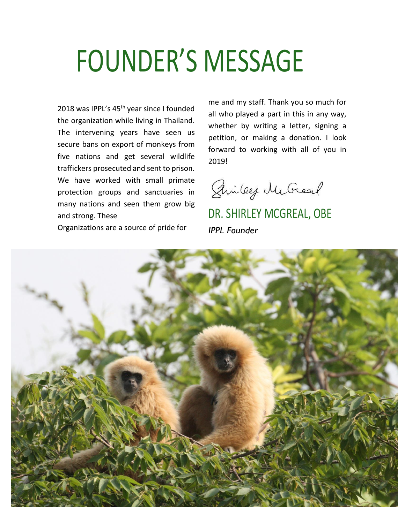### FOUNDER'S MESSAGE

2018 was IPPL's 45<sup>th</sup> year since I founded the organization while living in Thailand. The intervening years have seen us secure bans on export of monkeys from five nations and get several wildlife traffickers prosecuted and sent to prison. We have worked with small primate protection groups and sanctuaries in many nations and seen them grow big and strong. These

Organizations are a source of pride for

me and my staff. Thank you so much for all who played a part in this in any way, whether by writing a letter, signing a petition, or making a donation. I look forward to working with all of you in 2019!

Sincey McGreat

DR. SHIRLEY MCGREAL, OBE *IPPL Founder*

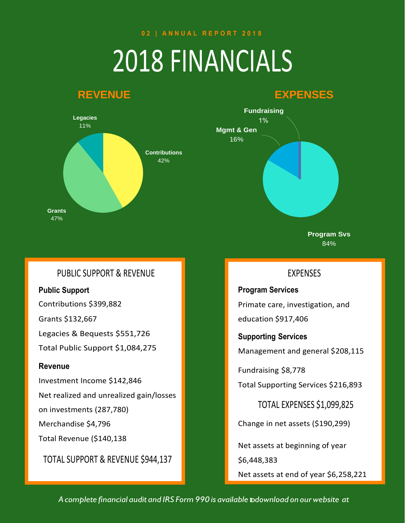**0 2 | A N N U A L R E P O R T 2 0 1 8**

## 2018 FINANCIALS

#### **REVENUE EXPENSES**



### **Fundraising**  $1%$ **Mgmt & Gen** 16%

**Program Svs** 84%

#### PUBLIC SUPPORT & REVENUE

**Public Support** 

Contributions \$399,882

Grants \$132,667

Legacies & Bequests \$551,726

Total Public Support \$1,084,275

#### **Revenue**

Investment Income \$142,846

Net realized and unrealized gain/losses

on investments (287,780)

Merchandise \$4,796

Total Revenue (\$140,138

TOTAL SUPPORT & REVENUE \$944,137

#### EXPENSES

**Program Services** Primate care, investigation, and

education \$917,406

**Supporting Services**

Management and general \$208,115

Fundraising \$8,778

Total Supporting Services \$216,893

TOTAL EXPENSES \$1,099,825

Change in net assets (\$190,299)

Net assets at beginning of year

\$6,448,383

Net assets at end of year \$6,258,221

*A complete financial audit and IRS Form 990 is available to download on ourwebsite at*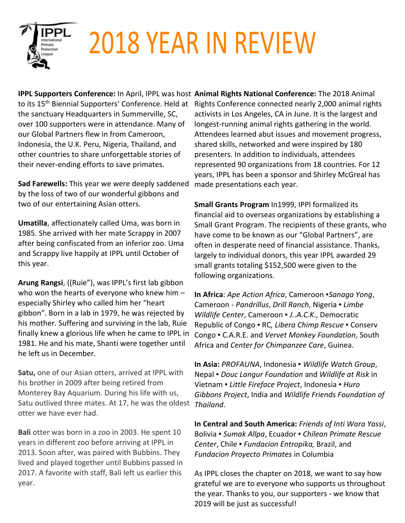

# 2018 YEAR IN REVIEW

to its 15<sup>th</sup> Biennial Supporters' Conference. Held at the sanctuary Headquarters in Summerville, SC, over 100 supporters were in attendance. Many of our Global Partners flew in from Cameroon, Indonesia, the U.K. Peru, Nigeria, Thailand, and other countries to share unforgettable stories of their never-ending efforts to save primates.

**Sad Farewells:** This year we were deeply saddened by the loss of two of our wonderful gibbons and two of our entertaining Asian otters.

**Umatilla**, affectionately called Uma, was born in 1985. She arrived with her mate Scrappy in 2007 after being confiscated from an inferior zoo. Uma and Scrappy live happily at IPPL until October of this year.

**Arung Rangsi**, ((Ruie"), was IPPL's first lab gibbon who won the hearts of everyone who knew him – especially Shirley who called him her "heart gibbon". Born in a lab in 1979, he was rejected by his mother. Suffering and surviving in the lab, Ruie finally knew a glorious life when he came to IPPL in 1981. He and his mate, Shanti were together until he left us in December.

**Satu,** one of our Asian otters, arrived at IPPL with his brother in 2009 after being retired from Monterey Bay Aquarium. During his life with us, Satu outlived three mates. At 17, he was the oldest *Thailand*. otter we have ever had.

**Bali** otter was born in a zoo in 2003. He spent 10 years in different zoo before arriving at IPPL in 2013. Soon after, was paired with Bubbins. They lived and played together until Bubbins passed in 2017. A favorite with staff, Bali left us earlier this year.

**IPPL Supporters Conference:** In April, IPPL was host **Animal Rights National Conference:** The 2018 Animal Rights Conference connected nearly 2,000 animal rights activists in Los Angeles, CA in June. It is the largest and longest-running animal rights gathering in the world. Attendees learned abut issues and movement progress, shared skills, networked and were inspired by 180 presenters. In addition to individuals, attendees represented 90 organizations from 18 countries. For 12 years, IPPL has been a sponsor and Shirley McGreal has made presentations each year.

> **Small Grants Program** In1999, IPPl formalized its financial aid to overseas organizations by establishing a Small Grant Program. The recipients of these grants, who have come to be known as our "Global Partners", are often in desperate need of financial assistance. Thanks, largely to individual donors, this year IPPL awarded 29 small grants totaling \$152,500 were given to the following organizations.

**In Africa**: *Ape Action Africa*, Cameroon ▪*Sanaga Yong*, Cameroon - *Pandrillus*, *Drill Ranch*, Nigeria ▪ *Limbe Wildlife Center*, Cameroon ▪ *J..A.C.K*., Democratic Republic of Congo ▪ RC*, Libera Chimp Rescue ▪* Conserv Congo ▪ C.A.R.E. and *Vervet Monkey Foundation*, South Africa and *Center for Chimpanzee Care*, Guinea.

**In Asia:** *PROFAUNA*, Indonesia ▪ *Wildlife Watch Group*, Nepal ▪ *Douc Langur Foundation* and *Wildlife at Risk* in Vietnam ▪ *Little Fireface Project*, Indonesia ▪ *Huro Gibbons Project*, India and *Wildlife Friends Foundation of* 

**In Central and South America:** *Friends of Inti Wara Yassi*, Bolivia ▪ *Sumak Allpa*, Ecuador ▪ *Chilean Primate Rescue Center*, Chile ▪ *Fundacion Entropika,* Brazil, and *Fundacion Proyecto Primates* in Columbia

As IPPL closes the chapter on 2018, we want to say how grateful we are to everyone who supports us throughout the year. Thanks to you, our supporters - we know that 2019 will be just as successful!